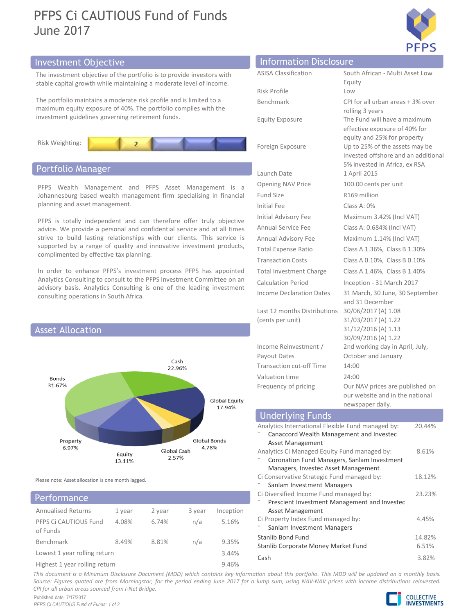# **PEPS Ci CAUTIOUS Fund of Funds**<br>
Sunne 2017<br>
Information<br>
The investment objective of the portfolio is to provide investors with<br>
The investment objective of the portfolio is to provide investors with<br>
The portfolio maint PFPS Ci CAUTIOUS Fund of Funds June 2017



# Investment Objective Information Disclosure

The investment objective of the portfolio is to provide investors with stable capital growth while maintaining a moderate level of income.

The portfolio maintains a moderate risk profile and is limited to a maximum equity exposure of 40%. The portfolio complies with the investment guidelines governing retirement funds.



# Portfolio Manager



# Performance

| -----------------             |        |        |        |           | Prescient Investment Management and Investec |
|-------------------------------|--------|--------|--------|-----------|----------------------------------------------|
| <b>Annualised Returns</b>     | 1 vear | 2 year | 3 year | Inception | Asset Management                             |
| PFPS Ci CAUTIOUS Fund         | 4.08%  | 6.74%  | n/a    | 5.16%     | Ci Property Index Fund managed by:           |
| of Funds                      |        |        |        |           | Sanlam Investment Managers                   |
|                               |        |        |        |           | Stanlib Bond Fund                            |
| Benchmark                     | 8.49%  | 8.81%  | n/a    | 9.35%     | Stanlib Corporate Money Market Fund          |
| Lowest 1 year rolling return  |        |        | Cash   |           |                                              |
| Highest 1 year rolling return |        |        |        | 0.160/    |                                              |

**EXERCT SOLUTE:**<br>
ASISA Classification<br>
ASISA Classification<br>
Risk Profile<br>
Benchmark<br>
Benchmark<br>
Equity Exposure<br>
Equity Exposure<br>
The Fund will have a maximum<br>
effective exposure of 40% for Equity **EXERCT SERVIDE SERVIDE SERVIDE ASSA Classification**<br>
RISSA Classification<br>
Risk Profile<br>
Risk Profile<br>
Benchmark<br>
Equity<br>
Equity Exposure<br>
The Fund will have a maximum<br>
effective exposure<br>
Foreign Exposure<br>
Profilm B 3 ye **EXERCISE SERVIDE SERVIDE SERVIDE SERVIDE SERVIDE SERVIDE SERVIDE SERVIDE SERVIDE SERVIDE SERVIDE SERVIDE SERVIDE SERVIDE SERVIDE SERVIDE SERVIDE SERVIDE SERVIDE SERVIDE SERVIDE SERVIDE SERVIDE SERVIDE SERVIDE SERVIDE SERV** rolling 3 years **EXPLEM**<br> **EQUITE SERVIDE SERVIDE SOLUTER**<br> **EQUITER**<br> **EQUITER**<br> **EQUITERENT SERVIDE SERVIDE SERVIDE SERVIDE SERVIDE SERVIDE SPACE THE FUND WILL ARE SERVIDE SPACE TO THE FUND WITH SPACE THE FUND WITH SPACE THE FUND WITHOU** effective exposure of 40% for equity and 25% for property **EXPORE SET ASSA Classification**<br> **Equity**<br>
RSISA Classification<br>
RSISA Classification<br>
RSISA Profile<br>
UP to 2016 or all urban areas + 3% over<br>
rolling 3 years<br>
Equity Exposure<br>
The Fund will have a maximum<br>
effective expo invested offshore and an additional 5% invested in Africa, ex RSA **Example 1 Apple 1 April 2015**<br> **Example 1 Apple 1 April 2015**<br> **Equity**<br>
Risk Profile<br> **Equity Exposure**<br> **Equity Exposure**<br> **Equity Exposure**<br> **Equity Exposure**<br> **Equity Exposure**<br> **Equity Exposure**<br> **Equity Exposure**<br> **Example 10.000**<br> **COPERTY AND PRIPS**<br> **COPERTY AND PRIPS**<br> **COPERTY AND PRIPS**<br> **Equity**<br> **Experiments**<br> **CPI for all urban areas + 3% over**<br> **CPI for all urban areas + 3% over**<br> **CPI for all urban areas + 3% over**<br> **CPI EXECUTE:**<br> **EXECUTE:**<br> **EXECUTE:**<br> **EXECUTE:**<br> **EXECUTE:**<br> **EXECUTE:**<br> **EXECUTE:**<br> **EXECUTE:**<br> **EXECUTE:**<br> **EXECUTE:**<br> **EXECUTE:**<br> **EXECUTE:**<br> **EXECUTE:**<br> **EXECUTE:**<br> **EXECUTE:**<br> **EXECUTE:**<br> **EXECUTE:**<br> **EXECUTE:**<br> **EXECU Information Disclosure**<br> **PFPS**<br> **EXECUTES A:** 2016 CONDITION:<br>
TRISK Profile<br>
Equity<br>
Experiments<br>
Equity Exposure<br>
Equity Exposure<br>
The fund will have a maximum<br>
effective exposure of 40% for<br>
Foreign Exposure<br>
Up to 25 **Information Disclosure**<br>
ASISA Classification South African - Multi Asset Low<br>
Risk Profile<br>
Equity<br>
Benchmark CPI for all urban areas + 3% over<br>
rolling 3 years<br>
Equity Exposure<br>
The Fund will have a maximum<br>
effective e **EXERCT SERVICE SERVICE SERVICE AND SERVICE SERVICE SERVICE SERVICE THE SERVICE SERVICE SERVICE SERVICE SERVICE SERVICE SERVICE SERVICE SERVICE SERVICE SERVICE SERVICE SERVICE SERVICE SERVICE SERVICE SERVICE SERVICE SERVIC** Annual Advisory Fee Maximum 1.14% (Incl VAT) **Information Disclosure**<br>
ASISA Classification South African - Multi Asset Low<br>
Equity<br>
Benchmark Low<br>
Equity Exposure The Fund will have a maximum<br>
effective exposure and and additional<br>
effective exposure and and additio ASISA Classification South African - Multi Asset Low<br>
RASISA Classification South African - Multi Asset Low<br>
Benchmark CPI for all urban areas + 3% over<br>
rolling 3 years<br>
Equity Exposure of 40% for equity and 25% for prope Risk Profile<br>
Equity<br>
Benchmark<br>
Equity<br>
Eventing 3 years<br>
Equity Exposure<br>
The Fund will have a maximum<br>
effective exposure of 40% for<br>
Equity Exposure<br>
Clause 25% for property<br>
Up to 25% of the assets may be<br>
invested of Risk Profile<br>
Equity Exposure<br>
CPI for all urban areas + 3% over<br>
rolling 3 years<br>
The Fund will have a maximum<br>
effective exposure of 40% for<br>
equity a 25% for property<br>
Foreign Exposure<br>
Up to 25% of the assets may be<br>
i Benchmark CPI for all urban areas + 3% over<br>
relling 3 years<br>
Fig. 11 whis a maximum<br>
effective exposure of 40% for<br>
equity and 25% for property<br>
Foreign Exposure Up to 25% of the assets may be<br>
invested offshore and an ad and 31 December Last 12 months Distributions (cents per unit) 30/06/2017 (A) 1.08 31/03/2017 (A) 1.22 31/12/2016 (A) 1.13 30/09/2016 (A) 1.22 Income Reinvestment / S% invested in Africa, ex RSA<br>
9 Denning NAV Price<br>
Fund Size<br>
10.00 Cents per unit<br>
Fund Size<br>
10.00 Cents per unit<br>
Fund Size<br>
10.00 Cents Are million<br>
Initial Fee<br>
10.00 Cents Are million<br>
11.14% (Incl VAT)<br>
Annual Advi 2nd working day in April, July, October and January Launch Date<br>
1 April 2015<br>
1 April 2015<br>
Evaluation Concents per unit<br>
Initial Fee<br>
100.0 Cents per lillion<br>
Initial Advisory Fee<br>
16:05 million<br>
Annual Service Fee<br>
16:0584% (Incl VAT)<br>
Annual Advisory Fee<br>
16:0584% (Incl Valuation time 24:00 Fund Size<br>
Initial Fee Class A: 0.684% (Incl VAT)<br>
Initial Advisory Fee Maximum 3.42% (Incl VAT)<br>
Annual Advisory Fee Maximum 1.14% (Incl VAT)<br>
Annual Advisory Fee Maximum 1.14% (Incl VAT)<br>
Total Expense Ratio Class A 1.36 Amiliar always reverse threatmin 1.14% (min 1.4% (min 1.4% (min 1.4% (lass B 1.36%)<br>
Transaction Costs Class A 0.10%, Class B 0.10%<br>
Transaction Costs Class A 0.10%, Class B 0.10%<br>
Calculation Period Inception - 31 March 2 **PFPS Ci CAUTIOUS Fund of Funds**<br>
Information Disclosure<br>
The investment objective<br>
The investment picture of the portfolio is to provide investors with<br>
take Register and Equity<br>
The portfolio manitalis and enderste is th **SEART THE SURFALL AND SURFALL AND SURFALL AND SURFALL AND SURFALL AND SURFALL AND SURFALL AND SURFALL AND SURFALL AND SURFALL AND SURFALL AND SURFALL AND SURFALL AND SURFALL AND SURFALL AND SURFALL AND SURFALL AND SURFALL PFPS C1 CAUTIOUS Fund of Funds**<br>
Information Disclosure<br>
The investment objective<br>
The investment objective<br>
The investment objective<br>
The portfolio maintaining and offer the portfolio complies with the<br>
Equity Exposure o **EXECUTE:**<br>
Information Disclosure<br>
The investment objective<br>
The investment objective<br>
The provide investors with<br>
the proposition is to provide investors with<br>
the provide investment guidelines and can therefore offer tr **EXECUTE:**<br>
Alternation Disclosure<br>
The investment objective<br>
The investment pointie in the provide investors with<br>
Italie capital growth while maintaining a moderate level of income.<br>
Repeated and is immunes and confident **EXERCT INTERT INTERT IS A CONSIDENT IS A CONSIDENT IS A CONSIDENT IS A CONSIDENT IS AN ART AN ART AN ART AN ART AN ART AN ART AN ART AN ART AN ART AN ART AN ART AN ART AN ART AN ART AN ART AN ART AN ART AN ART AN ART AN A** Supported the provide interaction of the control of the control of the control of the control of the control of the control of the control of the control of the control of the control of the control of the control of the c **EXEREM STEP 19 (THE CONSURRED UNITED STEP 19 (THE ENTERN INTERNATION DISCLOSURE THE INTERNATION DESCRIPT (THE DATE ON THE PATH ON THE PATH ON THE PATH ON THE PATH ON THE PATH ON THE PATH ON THE PATH ON THE PATH ON THE PAT** The initial Advisory and the provide in the properties of the studies and a studies consider the properties in the properties with the material task phone is the Profile and Islamical materials are properties when the mate Consulting to consult to the PFPS increases the teading investment Consulting persistion in State Profile (Carl September 1998)<br>
State Consulting to the performance of ADS. The performance of ADS. The performance of ADS. T The partfolio maintains a moderate risk profile and is limited to a<br>
menshmank CPI for all urban areas + 3% over<br>
research and distribute consulting is a second for the particle consulting is a second of the particle expos Consulting operations in solution and attack one intervent and in Denticution and attack of the particular particular and attack of the particular and attack of the particular and the particular operation of the method in

| consulting operations in South Africa.                         |                               |                      | advisory wasis, marylies consuming is one or the reading investment                                                      |                    | Income Declaration Dates<br>Last 12 months Distributions<br>(cents per unit)                                                       | 31 March, 30 June, 30 September<br>and 31 December<br>30/06/2017 (A) 1.08<br>31/03/2017 (A) 1.22 |        |  |
|----------------------------------------------------------------|-------------------------------|----------------------|--------------------------------------------------------------------------------------------------------------------------|--------------------|------------------------------------------------------------------------------------------------------------------------------------|--------------------------------------------------------------------------------------------------|--------|--|
| <b>Asset Allocation</b>                                        |                               |                      |                                                                                                                          |                    | 31/12/2016 (A) 1.13<br>30/09/2016 (A) 1.22                                                                                         |                                                                                                  |        |  |
|                                                                |                               | Cash                 |                                                                                                                          |                    | Income Reinvestment /<br>2nd working day in April, July,<br>Payout Dates<br>October and January<br><b>Transaction cut-off Time</b> |                                                                                                  |        |  |
| 22.96%<br>Bonds<br>31.67%<br>Global Equity<br>17.94%           |                               |                      | Valuation time                                                                                                           | 14:00              |                                                                                                                                    |                                                                                                  |        |  |
|                                                                |                               |                      |                                                                                                                          |                    | 24:00<br>Frequency of pricing<br>Our NAV prices are published on<br>our website and in the national<br>newspaper daily.            |                                                                                                  |        |  |
| Global Bonds<br>Property<br>4.78%                              |                               |                      |                                                                                                                          |                    | <b>Underlying Funds</b>                                                                                                            |                                                                                                  |        |  |
|                                                                |                               |                      | Analytics International Flexible Fund managed by:<br>Canaccord Wealth Management and Investec<br><b>Asset Management</b> |                    | 20.44%                                                                                                                             |                                                                                                  |        |  |
| 6.97%                                                          | Equity<br>13.11%              | Global Cash<br>2.57% |                                                                                                                          |                    | Analytics Ci Managed Equity Fund managed by:<br>Coronation Fund Managers, Sanlam Investment<br>Managers, Investec Asset Management |                                                                                                  | 8.61%  |  |
| Please note: Asset allocation is one month lagged.             |                               |                      |                                                                                                                          |                    | Ci Conservative Strategic Fund managed by:<br>Sanlam Investment Managers                                                           |                                                                                                  | 18.12% |  |
| Performance                                                    |                               |                      |                                                                                                                          |                    | Ci Diversified Income Fund managed by:<br>Prescient Investment Management and Investec                                             |                                                                                                  | 23.23% |  |
| <b>Annualised Returns</b><br>PFPS Ci CAUTIOUS Fund<br>of Funds | 1 year<br>4.08%               | 2 year<br>6.74%      | 3 year<br>n/a                                                                                                            | Inception<br>5.16% | Asset Management<br>Ci Property Index Fund managed by:<br>Sanlam Investment Managers                                               |                                                                                                  | 4.45%  |  |
| Benchmark                                                      | 8.49%                         | 8.81%                | n/a                                                                                                                      | 9.35%              | Stanlib Bond Fund                                                                                                                  |                                                                                                  | 14.82% |  |
| Lowest 1 year rolling return                                   |                               |                      |                                                                                                                          | 3.44%              | Stanlib Corporate Money Market Fund                                                                                                |                                                                                                  | 6.51%  |  |
|                                                                | Highest 1 year rolling return |                      |                                                                                                                          | 9.46%              | Cash                                                                                                                               |                                                                                                  | 3.82%  |  |